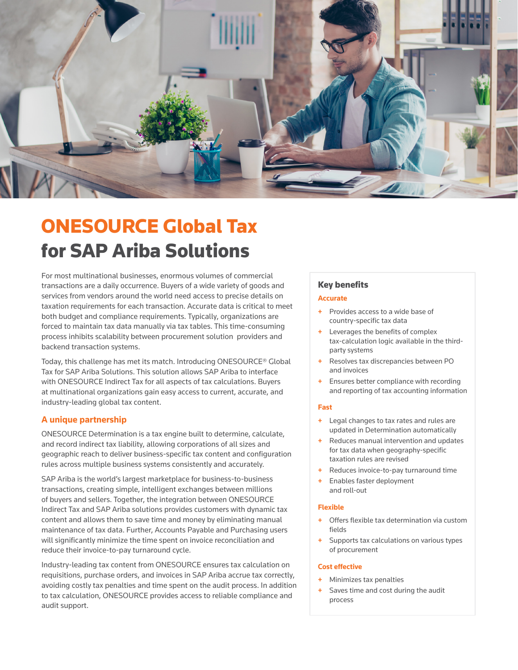

# ONESOURCE Global Tax for SAP Ariba Solutions

For most multinational businesses, enormous volumes of commercial transactions are a daily occurrence. Buyers of a wide variety of goods and services from vendors around the world need access to precise details on taxation requirements for each transaction. Accurate data is critical to meet both budget and compliance requirements. Typically, organizations are forced to maintain tax data manually via tax tables. This time-consuming process inhibits scalability between procurement solution providers and backend transaction systems.

Today, this challenge has met its match. Introducing ONESOURCE® Global Tax for SAP Ariba Solutions. This solution allows SAP Ariba to interface with ONESOURCE Indirect Tax for all aspects of tax calculations. Buyers at multinational organizations gain easy access to current, accurate, and industry-leading global tax content.

# **A unique partnership**

ONESOURCE Determination is a tax engine built to determine, calculate, and record indirect tax liability, allowing corporations of all sizes and geographic reach to deliver business-specific tax content and configuration rules across multiple business systems consistently and accurately.

SAP Ariba is the world's largest marketplace for business-to-business transactions, creating simple, intelligent exchanges between millions of buyers and sellers. Together, the integration between ONESOURCE Indirect Tax and SAP Ariba solutions provides customers with dynamic tax content and allows them to save time and money by eliminating manual maintenance of tax data. Further, Accounts Payable and Purchasing users will significantly minimize the time spent on invoice reconciliation and reduce their invoice-to-pay turnaround cycle.

Industry-leading tax content from ONESOURCE ensures tax calculation on requisitions, purchase orders, and invoices in SAP Ariba accrue tax correctly, avoiding costly tax penalties and time spent on the audit process. In addition to tax calculation, ONESOURCE provides access to reliable compliance and audit support.

# Key benefits

## **Accurate**

- + Provides access to a wide base of country-specific tax data
- + Leverages the benefits of complex tax-calculation logic available in the thirdparty systems
- Resolves tax discrepancies between PO and invoices
- Ensures better compliance with recording and reporting of tax accounting information

## **Fast**

- + Legal changes to tax rates and rules are updated in Determination automatically
- + Reduces manual intervention and updates for tax data when geography-specific taxation rules are revised
- Reduces invoice-to-pay turnaround time
- Enables faster deployment and roll-out

#### **Flexible**

- + Offers flexible tax determination via custom fields
- Supports tax calculations on various types of procurement

#### **Cost effective**

- Minimizes tax penalties
- Saves time and cost during the audit process